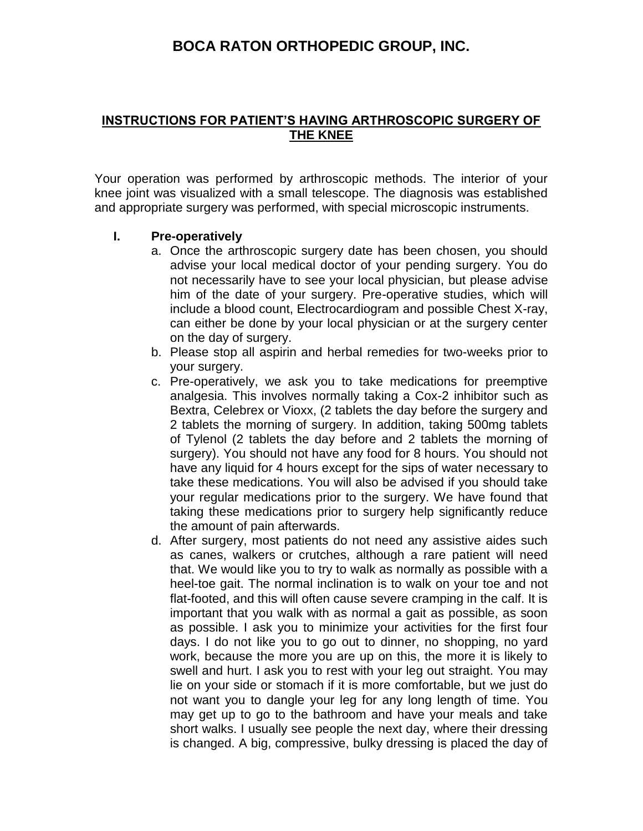## **BOCA RATON ORTHOPEDIC GROUP, INC.**

## **INSTRUCTIONS FOR PATIENT'S HAVING ARTHROSCOPIC SURGERY OF THE KNEE**

Your operation was performed by arthroscopic methods. The interior of your knee joint was visualized with a small telescope. The diagnosis was established and appropriate surgery was performed, with special microscopic instruments.

## **I. Pre-operatively**

- a. Once the arthroscopic surgery date has been chosen, you should advise your local medical doctor of your pending surgery. You do not necessarily have to see your local physician, but please advise him of the date of your surgery. Pre-operative studies, which will include a blood count, Electrocardiogram and possible Chest X-ray, can either be done by your local physician or at the surgery center on the day of surgery.
- b. Please stop all aspirin and herbal remedies for two-weeks prior to your surgery.
- c. Pre-operatively, we ask you to take medications for preemptive analgesia. This involves normally taking a Cox-2 inhibitor such as Bextra, Celebrex or Vioxx, (2 tablets the day before the surgery and 2 tablets the morning of surgery. In addition, taking 500mg tablets of Tylenol (2 tablets the day before and 2 tablets the morning of surgery). You should not have any food for 8 hours. You should not have any liquid for 4 hours except for the sips of water necessary to take these medications. You will also be advised if you should take your regular medications prior to the surgery. We have found that taking these medications prior to surgery help significantly reduce the amount of pain afterwards.
- d. After surgery, most patients do not need any assistive aides such as canes, walkers or crutches, although a rare patient will need that. We would like you to try to walk as normally as possible with a heel-toe gait. The normal inclination is to walk on your toe and not flat-footed, and this will often cause severe cramping in the calf. It is important that you walk with as normal a gait as possible, as soon as possible. I ask you to minimize your activities for the first four days. I do not like you to go out to dinner, no shopping, no yard work, because the more you are up on this, the more it is likely to swell and hurt. I ask you to rest with your leg out straight. You may lie on your side or stomach if it is more comfortable, but we just do not want you to dangle your leg for any long length of time. You may get up to go to the bathroom and have your meals and take short walks. I usually see people the next day, where their dressing is changed. A big, compressive, bulky dressing is placed the day of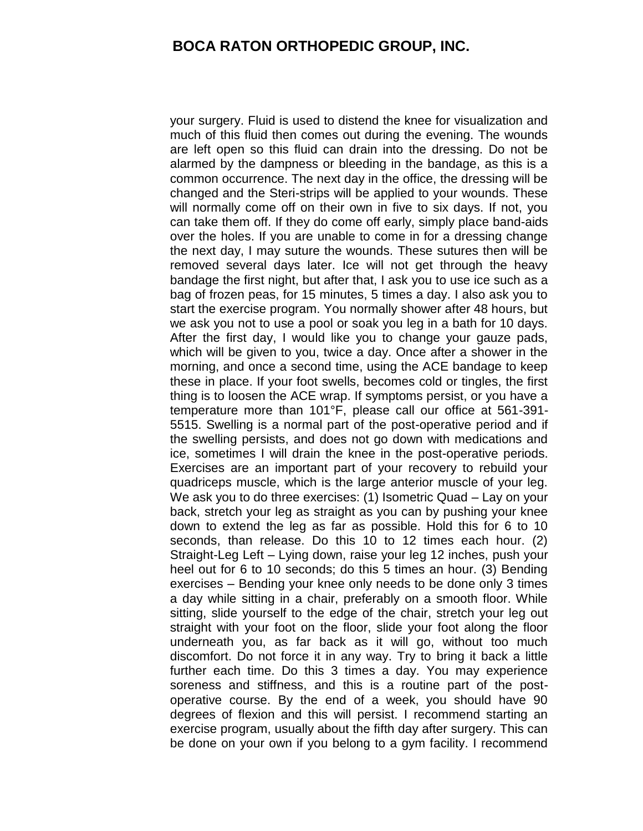## **BOCA RATON ORTHOPEDIC GROUP, INC.**

your surgery. Fluid is used to distend the knee for visualization and much of this fluid then comes out during the evening. The wounds are left open so this fluid can drain into the dressing. Do not be alarmed by the dampness or bleeding in the bandage, as this is a common occurrence. The next day in the office, the dressing will be changed and the Steri-strips will be applied to your wounds. These will normally come off on their own in five to six days. If not, you can take them off. If they do come off early, simply place band-aids over the holes. If you are unable to come in for a dressing change the next day, I may suture the wounds. These sutures then will be removed several days later. Ice will not get through the heavy bandage the first night, but after that, I ask you to use ice such as a bag of frozen peas, for 15 minutes, 5 times a day. I also ask you to start the exercise program. You normally shower after 48 hours, but we ask you not to use a pool or soak you leg in a bath for 10 days. After the first day, I would like you to change your gauze pads, which will be given to you, twice a day. Once after a shower in the morning, and once a second time, using the ACE bandage to keep these in place. If your foot swells, becomes cold or tingles, the first thing is to loosen the ACE wrap. If symptoms persist, or you have a temperature more than 101°F, please call our office at 561-391- 5515. Swelling is a normal part of the post-operative period and if the swelling persists, and does not go down with medications and ice, sometimes I will drain the knee in the post-operative periods. Exercises are an important part of your recovery to rebuild your quadriceps muscle, which is the large anterior muscle of your leg. We ask you to do three exercises: (1) Isometric Quad – Lay on your back, stretch your leg as straight as you can by pushing your knee down to extend the leg as far as possible. Hold this for 6 to 10 seconds, than release. Do this 10 to 12 times each hour. (2) Straight-Leg Left – Lying down, raise your leg 12 inches, push your heel out for 6 to 10 seconds; do this 5 times an hour. (3) Bending exercises – Bending your knee only needs to be done only 3 times a day while sitting in a chair, preferably on a smooth floor. While sitting, slide yourself to the edge of the chair, stretch your leg out straight with your foot on the floor, slide your foot along the floor underneath you, as far back as it will go, without too much discomfort. Do not force it in any way. Try to bring it back a little further each time. Do this 3 times a day. You may experience soreness and stiffness, and this is a routine part of the postoperative course. By the end of a week, you should have 90 degrees of flexion and this will persist. I recommend starting an exercise program, usually about the fifth day after surgery. This can be done on your own if you belong to a gym facility. I recommend